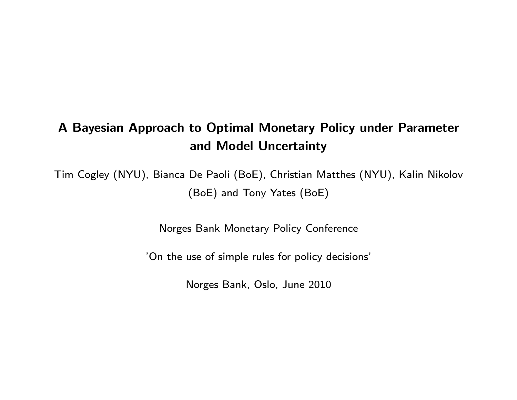#### A Bayesian Approach to Optimal Monetary Policy under Parameter and Model Uncertainty

Tim Cogley (NYU), Bianca De Paoli (BoE), Christian Matthes (NYU), Kalin Nikolov (BoE) and Tony Yates (BoE)

Norges Bank Monetary Policy Conference

'On the use of simple rules for policy decisions'

Norges Bank, Oslo, June 2010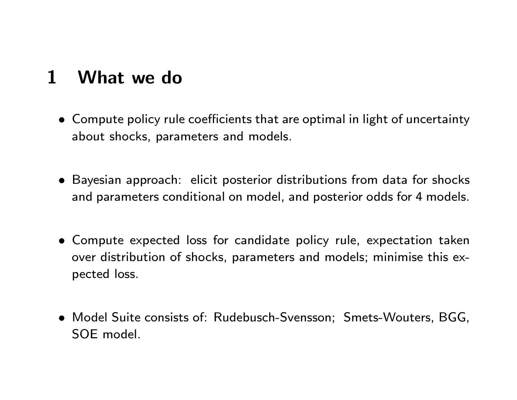# 1 What we do

- Compute policy rule coefficients that are optimal in light of uncertainty about shocks, parameters and models.
- Bayesian approach: elicit posterior distributions from data for shocks and parameters conditional on model, and posterior odds for 4 models.
- Compute expected loss for candidate policy rule, expectation taken over distribution of shocks, parameters and models; minimise this expected loss.
- Model Suite consists of: Rudebusch-Svensson; Smets-Wouters, BGG, SOE model.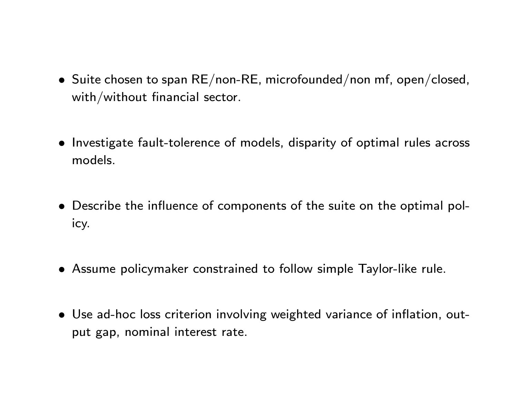- $\bullet$  Suite chosen to span RE/non-RE, microfounded/non mf, open/closed, with/without financial sector.
- Investigate fault-tolerence of models, disparity of optimal rules across models.
- Describe the influence of components of the suite on the optimal policy.
- Assume policymaker constrained to follow simple Taylor-like rule.
- Use ad-hoc loss criterion involving weighted variance of inflation, output gap, nominal interest rate.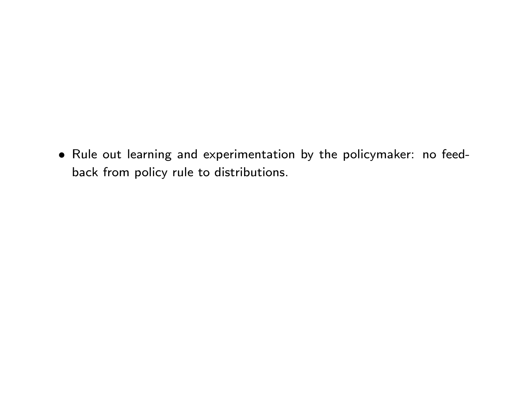Rule out learning and experimentation by the policymaker: no feedback from policy rule to distributions.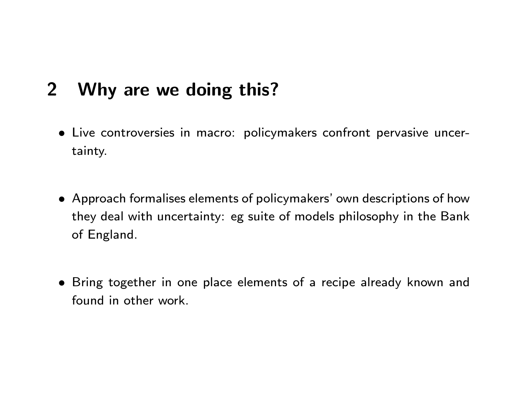# 2 Why are we doing this?

- Live controversies in macro: policymakers confront pervasive uncertainty.
- Approach formalises elements of policymakers' own descriptions of how they deal with uncertainty: eg suite of models philosophy in the Bank of England.
- Bring together in one place elements of a recipe already known and found in other work.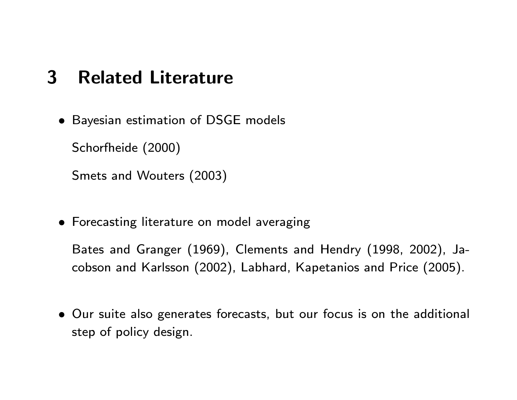## 3 Related Literature

• Bayesian estimation of DSGE models

Schorfheide (2000)

Smets and Wouters (2003)

Forecasting literature on model averaging

Bates and Granger (1969), Clements and Hendry (1998, 2002), Jacobson and Karlsson (2002), Labhard, Kapetanios and Price (2005).

 Our suite also generates forecasts, but our focus is on the additional step of policy design.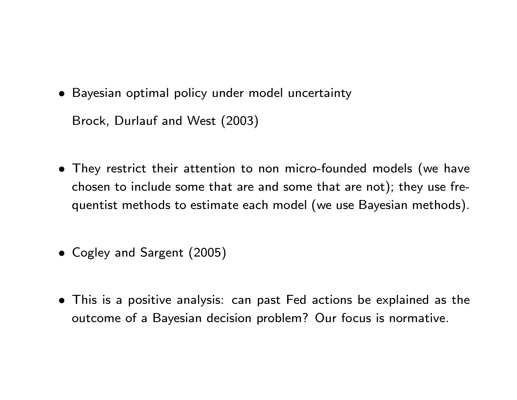- Bayesian optimal policy under model uncertainty Brock, Durlauf and West (2003)
- They restrict their attention to non micro-founded models (we have chosen to include some that are and some that are not); they use frequentist methods to estimate each model (we use Bayesian methods).
- Cogley and Sargent (2005)
- This is a positive analysis: can past Fed actions be explained as the outcome of a Bayesian decision problem? Our focus is normative.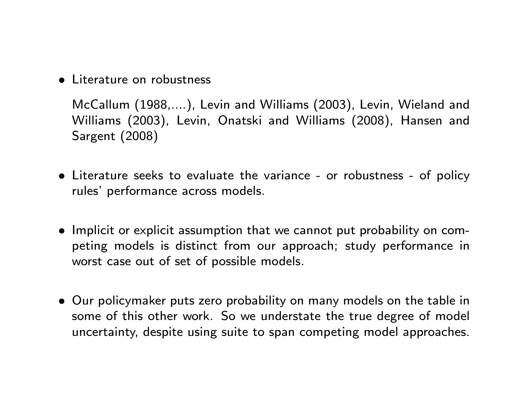• Literature on robustness

McCallum (1988,....), Levin and Williams (2003), Levin, Wieland and Williams (2003), Levin, Onatski and Williams (2008), Hansen and Sargent (2008)

- Literature seeks to evaluate the variance or robustness of policy rules' performance across models.
- Implicit or explicit assumption that we cannot put probability on competing models is distinct from our approach; study performance in worst case out of set of possible models.
- Our policymaker puts zero probability on many models on the table in some of this other work. So we understate the true degree of model uncertainty, despite using suite to span competing model approaches.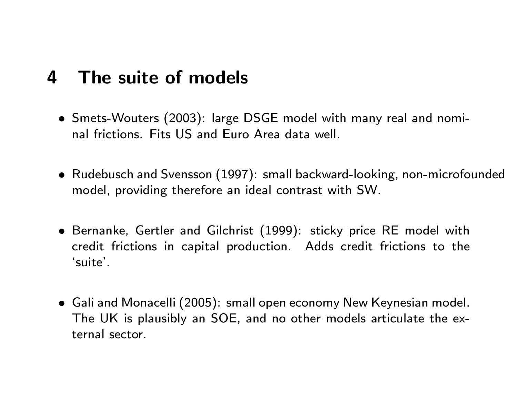## 4 The suite of models

- Smets-Wouters (2003): large DSGE model with many real and nominal frictions. Fits US and Euro Area data well.
- Rudebusch and Svensson (1997): small backward-looking, non-microfounded model, providing therefore an ideal contrast with SW.
- Bernanke, Gertler and Gilchrist (1999): sticky price RE model with credit frictions in capital production. Adds credit frictions to the `suite'.
- Gali and Monacelli (2005): small open economy New Keynesian model. The UK is plausibly an SOE, and no other models articulate the external sector.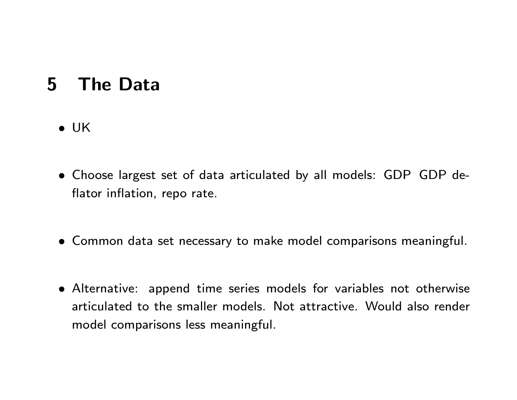## 5 The Data

- $\bullet$  UK
- Choose largest set of data articulated by all models: GDP GDP de flator inflation, repo rate.
- Common data set necessary to make model comparisons meaningful.
- Alternative: append time series models for variables not otherwise articulated to the smaller models. Not attractive. Would also render model comparisons less meaningful.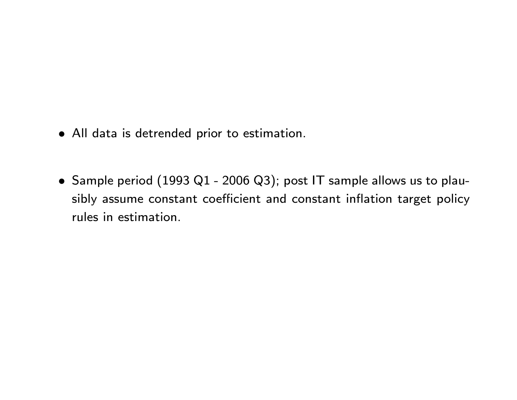- All data is detrended prior to estimation.
- Sample period (1993 Q1 2006 Q3); post IT sample allows us to plausibly assume constant coefficient and constant inflation target policy rules in estimation.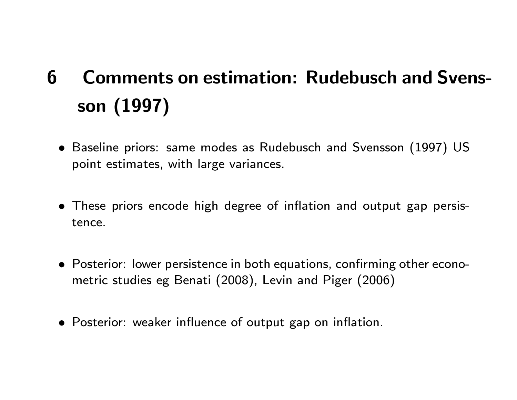# 6 Comments on estimation: Rudebusch and Svensson (1997)

- Baseline priors: same modes as Rudebusch and Svensson (1997) US point estimates, with large variances.
- These priors encode high degree of inflation and output gap persistence.
- Posterior: lower persistence in both equations, confirming other econometric studies eg Benati (2008), Levin and Piger (2006)
- Posterior: weaker influence of output gap on inflation.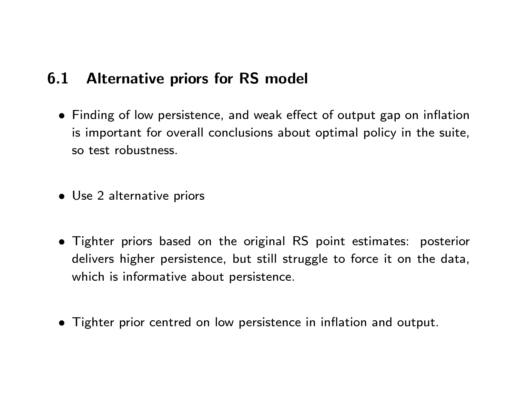### 6.1 Alternative priors for RS model

- Finding of low persistence, and weak effect of output gap on inflation is important for overall conclusions about optimal policy in the suite, so test robustness.
- Use 2 alternative priors
- Tighter priors based on the original RS point estimates: posterior delivers higher persistence, but still struggle to force it on the data, which is informative about persistence.
- Tighter prior centred on low persistence in inflation and output.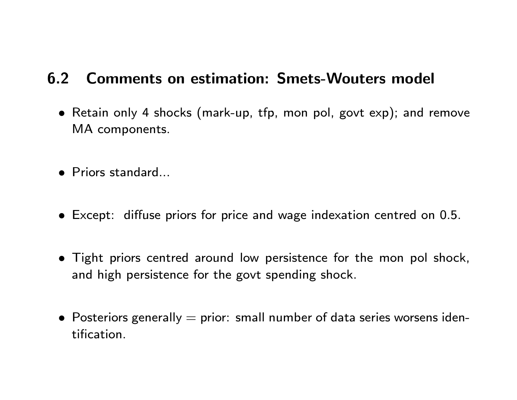### 6.2 Comments on estimation: Smets-Wouters model

- Retain only 4 shocks (mark-up, tfp, mon pol, govt exp); and remove MA components.
- Priors standard...
- $\bullet$  Except: diffuse priors for price and wage indexation centred on 0.5.
- Tight priors centred around low persistence for the mon pol shock, and high persistence for the govt spending shock.
- Posteriors generally  $=$  prior: small number of data series worsens identication.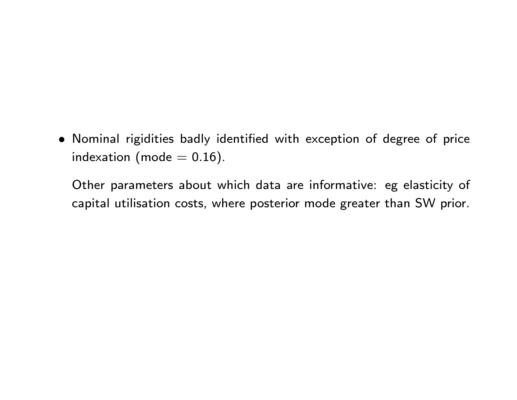Nominal rigidities badly identied with exception of degree of price indexation (mode  $= 0.16$ ).

Other parameters about which data are informative: eg elasticity of capital utilisation costs, where posterior mode greater than SW prior.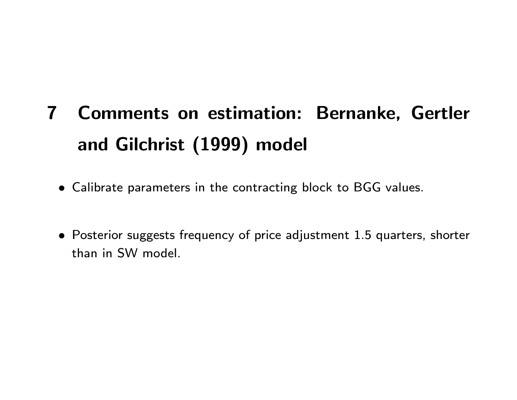# 7 Comments on estimation: Bernanke, Gertler and Gilchrist (1999) model

- Calibrate parameters in the contracting block to BGG values.
- Posterior suggests frequency of price adjustment 1.5 quarters, shorter than in SW model.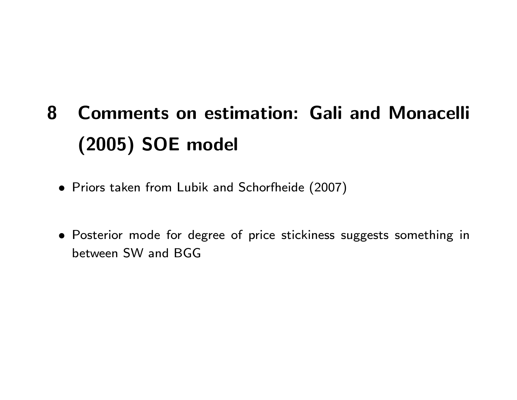# 8 Comments on estimation: Gali and Monacelli (2005) SOE model

- Priors taken from Lubik and Schorfheide (2007)
- Posterior mode for degree of price stickiness suggests something in between SW and BGG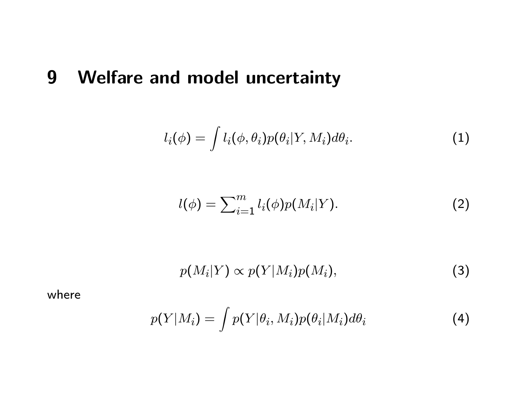# 9 Welfare and model uncertainty

$$
l_i(\phi) = \int l_i(\phi, \theta_i) p(\theta_i | Y, M_i) d\theta_i.
$$
 (1)

$$
l(\phi) = \sum_{i=1}^{m} l_i(\phi) p(M_i|Y). \tag{2}
$$

$$
p(M_i|Y) \propto p(Y|M_i)p(M_i), \qquad (3)
$$

where

$$
p(Y|M_i) = \int p(Y|\theta_i, M_i)p(\theta_i|M_i)d\theta_i \tag{4}
$$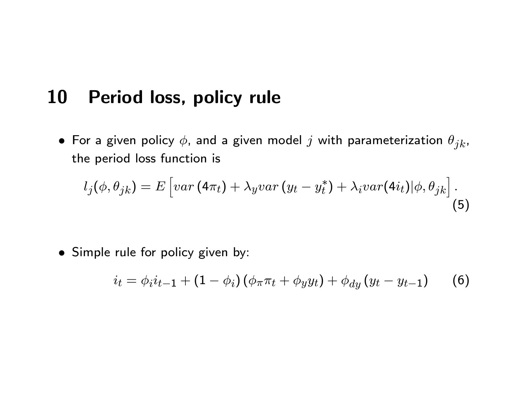### 10 Period loss, policy rule

 $\bullet$  For a given policy  $\phi$ , and a given model  $j$  with parameterization  $\theta_{jk}$ , the period loss function is

$$
l_j(\phi, \theta_{jk}) = E\left[ var(4\pi_t) + \lambda_y var(y_t - y_t^*) + \lambda_i var(4i_t)|\phi, \theta_{jk}\right].
$$
\n(5)

• Simple rule for policy given by:

$$
i_t = \phi_i i_{t-1} + (1 - \phi_i) (\phi_\pi \pi_t + \phi_y y_t) + \phi_{dy} (y_t - y_{t-1}) \tag{6}
$$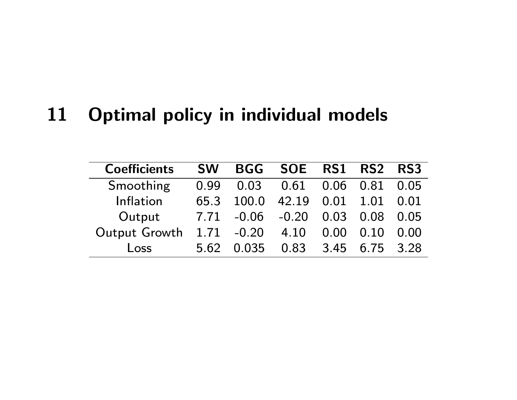# 11 Optimal policy in individual models

| <b>Coefficients</b> | <b>SW</b> |                       | BGG SOE RS1   |           | <b>RS2</b> | RS3       |
|---------------------|-----------|-----------------------|---------------|-----------|------------|-----------|
| Smoothing           | 0.99      | 0.03                  | $0.61$ $0.06$ |           | 0.81       | 0.05      |
| Inflation           | 65.3      | 100.0                 | 42.19 0.01    |           | 1.01       | 0.01      |
| Output              |           | 7.71 -0.06 -0.20 0.03 |               |           | 0.08       | 0.05      |
| Output Growth       |           | $1.71 - 0.20$         | 4.10          | 0.00      | 0.10       | 0.00      |
| Loss                | 5.62      | 0.035                 |               | 0.83 3.45 |            | 6.75 3.28 |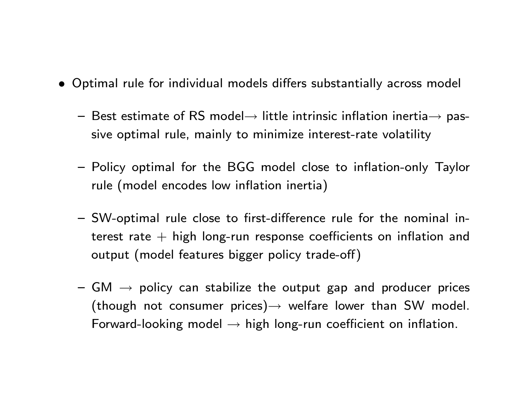- Optimal rule for individual models differs substantially across model
	- $-$  Best estimate of RS model $\rightarrow$  little intrinsic inflation inertia $\rightarrow$  passive optimal rule, mainly to minimize interest-rate volatility
	- Policy optimal for the BGG model close to inflation-only Taylor rule (model encodes low inflation inertia)
	- $-$  SW-optimal rule close to first-difference rule for the nominal interest rate  $+$  high long-run response coefficients on inflation and output (model features bigger policy trade-off)
	- ${\bf -}$  GM  $\rightarrow$  policy can stabilize the output gap and producer prices (though not consumer prices) $\rightarrow$  welfare lower than SW model. Forward-looking model  $\rightarrow$  high long-run coefficient on inflation.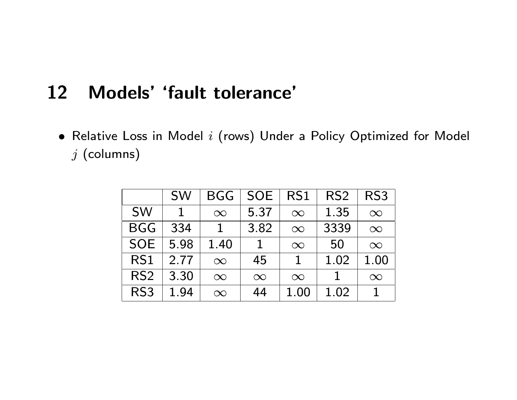### 12 Models' 'fault tolerance'

 $\bullet$  Relative Loss in Model  $i$  (rows) Under a Policy Optimized for Model  $j$  (columns)

|                 | <b>SW</b> | BGG      | <b>SOE</b> | RS1      | RS <sub>2</sub> | RS3      |
|-----------------|-----------|----------|------------|----------|-----------------|----------|
| <b>SW</b>       |           | $\infty$ | 5.37       | $\infty$ | 1.35            | $\infty$ |
| <b>BGG</b>      | 334       |          | 3.82       | $\infty$ | 3339            | $\infty$ |
| <b>SOE</b>      | 5.98      | 1.40     |            | $\infty$ | 50              | $\infty$ |
| RS <sub>1</sub> | 2.77      | $\infty$ | 45         | 1        | 1.02            | 1.00     |
| RS <sub>2</sub> | 3.30      | $\infty$ | $\infty$   | $\infty$ |                 | $\infty$ |
| RS <sub>3</sub> | 1.94      | $\infty$ | 44         | 1.00     | 1.02            |          |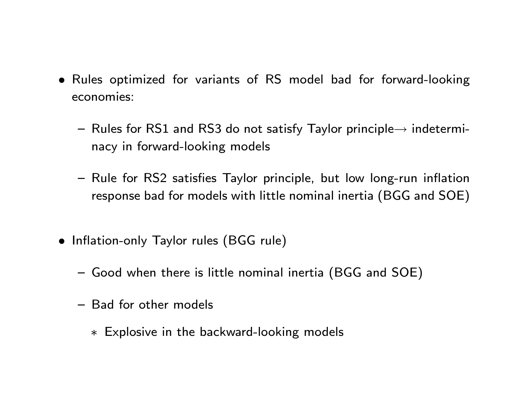- Rules optimized for variants of RS model bad for forward-looking economies:
	- $-$  Rules for RS1 and RS3 do not satisfy Taylor principle $\rightarrow$  indeterminacy in forward-looking models
	- Rule for RS2 satisfies Taylor principle, but low long-run inflation response bad for models with little nominal inertia (BGG and SOE)
- Inflation-only Taylor rules (BGG rule)
	- { Good when there is little nominal inertia (BGG and SOE)
	- Bad for other models
		- Explosive in the backward-looking models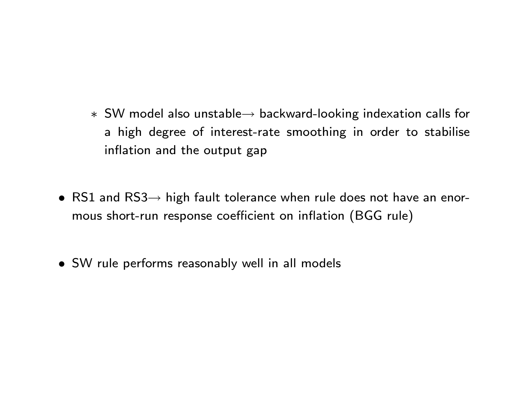- $*$  SW model also unstable $\rightarrow$  backward-looking indexation calls for a high degree of interest-rate smoothing in order to stabilise inflation and the output gap
- RS1 and  $RS3\rightarrow$  high fault tolerance when rule does not have an enormous short-run response coefficient on inflation (BGG rule)
- SW rule performs reasonably well in all models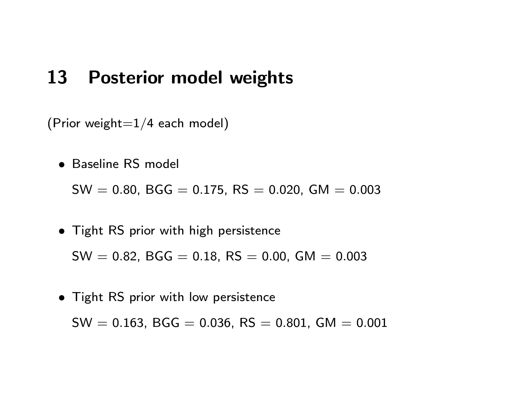### 13 Posterior model weights

(Prior weight $=1/4$  each model)

• Baseline RS model

 $SW = 0.80$ , BGG = 0.175, RS = 0.020, GM = 0.003

• Tight RS prior with high persistence

 $SW = 0.82$ , BGG = 0.18, RS = 0.00, GM = 0.003

• Tight RS prior with low persistence

 $SW = 0.163$ , BGG = 0.036, RS = 0.801, GM = 0.001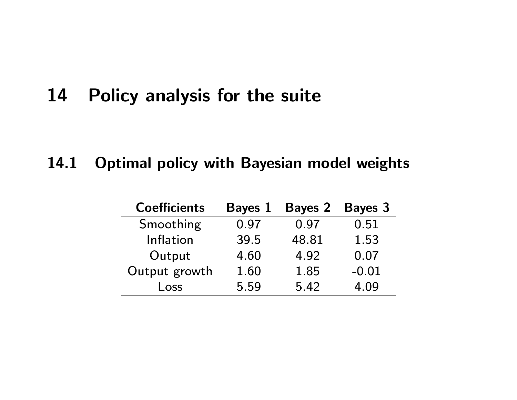# 14 Policy analysis for the suite

### 14.1 Optimal policy with Bayesian model weights

| <b>Coefficients</b> | <b>Bayes 1</b> | <b>Bayes 2</b> | <b>Bayes 3</b> |
|---------------------|----------------|----------------|----------------|
| Smoothing           | 0.97           | 0.97           | 0.51           |
| Inflation           | 39.5           | 48.81          | 1.53           |
| Output              | 4.60           | 4.92           | 0.07           |
| Output growth       | 1.60           | 1.85           | $-0.01$        |
| Loss                | 5.59           | 5.42           | 4.09           |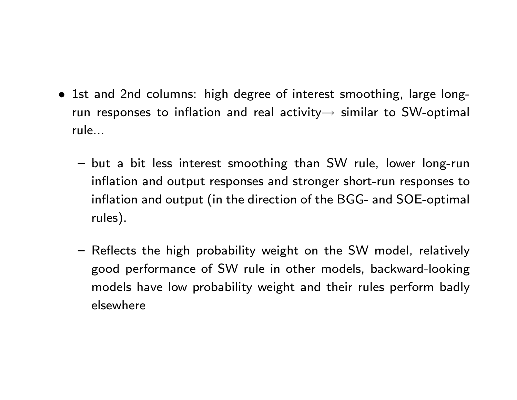- 1st and 2nd columns: high degree of interest smoothing, large longrun responses to inflation and real activity  $\rightarrow$  similar to SW-optimal rule...
	- $-$  but a bit less interest smoothing than SW rule, lower long-run inflation and output responses and stronger short-run responses to inflation and output (in the direction of the BGG- and SOE-optimal rules).
	- Reflects the high probability weight on the SW model, relatively good performance of SW rule in other models, backward-looking models have low probability weight and their rules perform badly elsewhere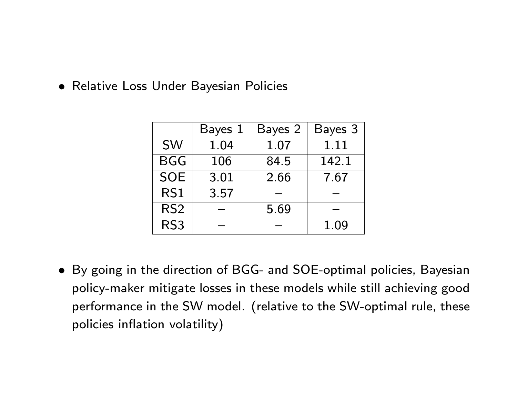Relative Loss Under Bayesian Policies

|                 | Bayes 1 | Bayes 2 | Bayes 3 |
|-----------------|---------|---------|---------|
| <b>SW</b>       | 1.04    | 1.07    | 1.11    |
| <b>BGG</b>      | 106     | 84.5    | 142.1   |
| <b>SOE</b>      | 3.01    | 2.66    | 7.67    |
| RS1             | 3.57    |         |         |
| RS <sub>2</sub> |         | 5.69    |         |
| RS <sub>3</sub> |         |         | 1.09    |

 By going in the direction of BGG- and SOE-optimal policies, Bayesian policy-maker mitigate losses in these models while still achieving good performance in the SW model. (relative to the SW-optimal rule, these policies inflation volatility)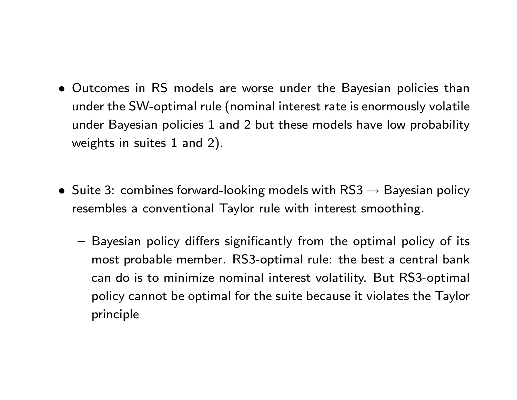- Outcomes in RS models are worse under the Bayesian policies than under the SW-optimal rule (nominal interest rate is enormously volatile under Bayesian policies 1 and 2 but these models have low probability weights in suites 1 and 2).
- Suite 3: combines forward-looking models with  $\text{RS3} \rightarrow \text{Bayesian policy}$ resembles a conventional Taylor rule with interest smoothing.
	- Bayesian policy differs significantly from the optimal policy of its most probable member. RS3-optimal rule: the best a central bank can do is to minimize nominal interest volatility. But RS3-optimal policy cannot be optimal for the suite because it violates the Taylor principle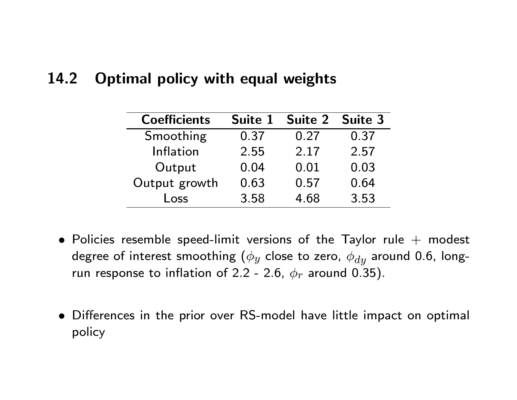#### 14.2 Optimal policy with equal weights

| <b>Coefficients</b> | Suite 1 | Suite 2 | <b>Suite 3</b> |
|---------------------|---------|---------|----------------|
| Smoothing           | 0.37    | 0.27    | 0.37           |
| Inflation           | 2.55    | 2.17    | 2.57           |
| Output              | 0.04    | 0.01    | 0.03           |
| Output growth       | 0.63    | 0.57    | 0.64           |
| Loss                | 3.58    | 4.68    | 3.53           |

- Policies resemble speed-limit versions of the Taylor rule  $+$  modest degree of interest smoothing ( $\phi_y$  close to zero,  $\phi_{dy}$  around 0.6, longrun response to inflation of 2.2 - 2.6,  $\phi_r$  around 0.35).
- $\bullet$  Differences in the prior over RS-model have little impact on optimal policy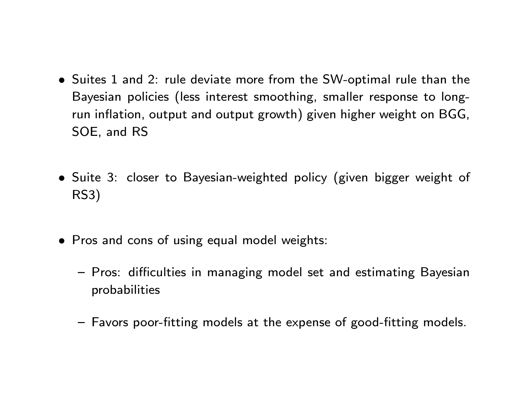- Suites 1 and 2: rule deviate more from the SW-optimal rule than the Bayesian policies (less interest smoothing, smaller response to longrun inflation, output and output growth) given higher weight on BGG, SOE, and RS
- Suite 3: closer to Bayesian-weighted policy (given bigger weight of RS3)
- Pros and cons of using equal model weights:
	- Pros: difficulties in managing model set and estimating Bayesian probabilities
	- Favors poor-fitting models at the expense of good-fitting models.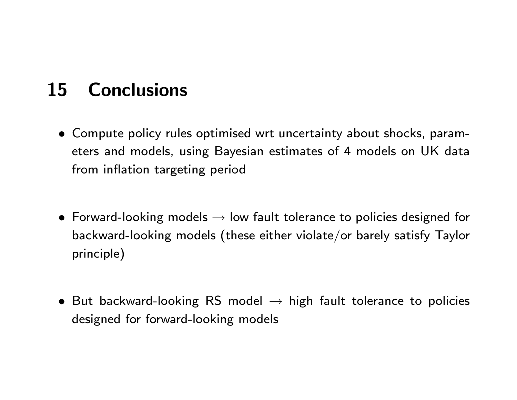# 15 Conclusions

- Compute policy rules optimised wrt uncertainty about shocks, parameters and models, using Bayesian estimates of 4 models on UK data from inflation targeting period
- Forward-looking models  $\rightarrow$  low fault tolerance to policies designed for backward-looking models (these either violate/or barely satisfy Taylor principle)
- But backward-looking RS model  $\rightarrow$  high fault tolerance to policies designed for forward-looking models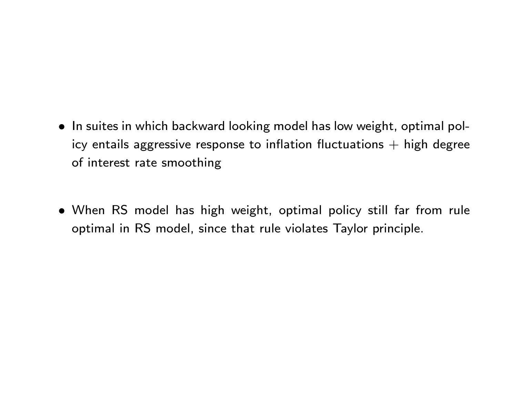- In suites in which backward looking model has low weight, optimal policy entails aggressive response to inflation fluctuations  $+$  high degree of interest rate smoothing
- When RS model has high weight, optimal policy still far from rule optimal in RS model, since that rule violates Taylor principle.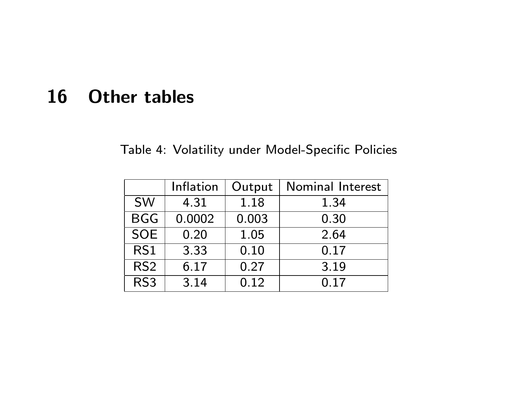# 16 Other tables

Table 4: Volatility under Model-Specific Policies

|                 | Inflation | Output | Nominal Interest |
|-----------------|-----------|--------|------------------|
| <b>SW</b>       | 4.31      | 1.18   | 1.34             |
| <b>BGG</b>      | 0.0002    | 0.003  | 0.30             |
| <b>SOE</b>      | 0.20      | 1.05   | 2.64             |
| RS1             | 3.33      | 0.10   | 0.17             |
| RS <sub>2</sub> | 6.17      | 0.27   | 3.19             |
| RS <sub>3</sub> | 3.14      | 0.12   | 0.17             |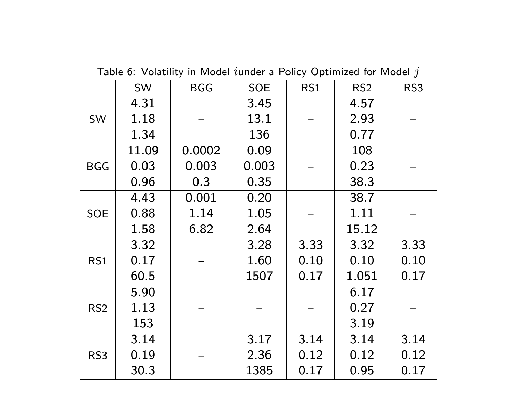|                 |       | Table 6: Volatility in Model $i$ under a Policy Optimized for Model $j$ |            |      |                 |                 |
|-----------------|-------|-------------------------------------------------------------------------|------------|------|-----------------|-----------------|
|                 | SW    | <b>BGG</b>                                                              | <b>SOE</b> | RS1  | RS <sub>2</sub> | RS <sub>3</sub> |
|                 | 4.31  |                                                                         | 3.45       |      | 4.57            |                 |
| SW              | 1.18  |                                                                         | 13.1       |      | 2.93            |                 |
|                 | 1.34  |                                                                         | 136        |      | 0.77            |                 |
|                 | 11.09 | 0.0002                                                                  | 0.09       |      | 108             |                 |
| <b>BGG</b>      | 0.03  | 0.003                                                                   | 0.003      |      | 0.23            |                 |
|                 | 0.96  | 0.3                                                                     | 0.35       |      | 38.3            |                 |
|                 | 4.43  | 0.001                                                                   | 0.20       |      | 38.7            |                 |
| <b>SOE</b>      | 0.88  | 1.14                                                                    | 1.05       |      | 1.11            |                 |
|                 | 1.58  | 6.82                                                                    | 2.64       |      | 15.12           |                 |
|                 | 3.32  |                                                                         | 3.28       | 3.33 | 3.32            | 3.33            |
| RS1             | 0.17  |                                                                         | 1.60       | 0.10 | 0.10            | 0.10            |
|                 | 60.5  |                                                                         | 1507       | 0.17 | 1.051           | 0.17            |
|                 | 5.90  |                                                                         |            |      | 6.17            |                 |
| RS <sub>2</sub> | 1.13  |                                                                         |            |      | 0.27            |                 |
|                 | 153   |                                                                         |            |      | 3.19            |                 |
|                 | 3.14  |                                                                         | 3.17       | 3.14 | 3.14            | 3.14            |
| RS <sub>3</sub> | 0.19  |                                                                         | 2.36       | 0.12 | 0.12            | 0.12            |
|                 | 30.3  |                                                                         | 1385       | 0.17 | 0.95            | 0.17            |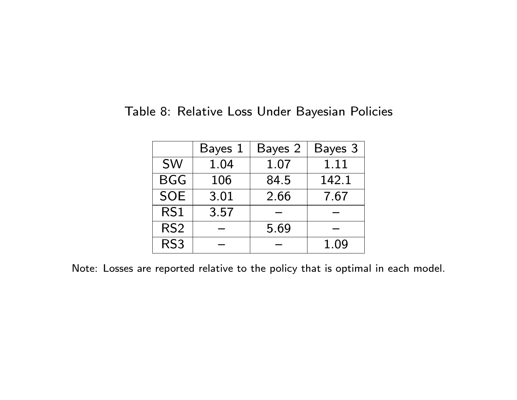Table 8: Relative Loss Under Bayesian Policies

|                 | Bayes 1 | Bayes 2 | Bayes 3 |
|-----------------|---------|---------|---------|
| <b>SW</b>       | 1.04    | 1.07    | 1.11    |
| <b>BGG</b>      | 106     | 84.5    | 142.1   |
| <b>SOE</b>      | 3.01    | 2.66    | 7.67    |
| RS1             | 3.57    |         |         |
| RS <sub>2</sub> |         | 5.69    |         |
| RS <sub>3</sub> |         |         | 1.09    |

Note: Losses are reported relative to the policy that is optimal in each model.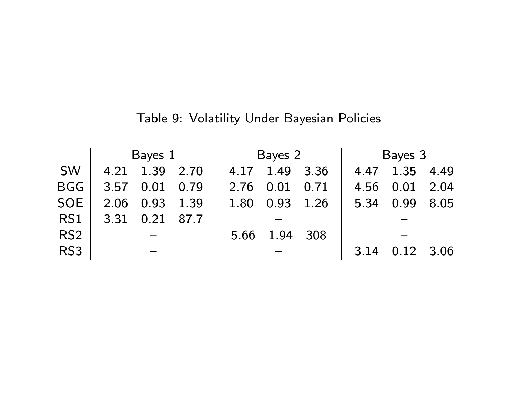|                 | Bayes 1   |           |      | Bayes 2 |      |      | Bayes 3 |           |      |
|-----------------|-----------|-----------|------|---------|------|------|---------|-----------|------|
| <b>SW</b>       | 4.21      | 1.39      | 2.70 | 4.17    | 1.49 | 3.36 | 4.47    | 1.35      | 4.49 |
| BGG             | 3.57      | 0.01      | 0.79 | 2.76    | 0.01 | 0.71 | 4.56    | 0.01      | 2.04 |
| SOE             | 2.06 0.93 |           | 1.39 | 1.80    | 0.93 | 1.26 | 5.34    | 0.99      | 8.05 |
| RS1             | 3.31      | 0.21 87.7 |      |         |      |      |         |           |      |
| RS <sub>2</sub> |           |           |      | 5.66    | 1.94 | 308  |         |           |      |
| RS <sub>3</sub> |           |           |      |         |      |      | 3.14    | 0.12 3.06 |      |

Table 9: Volatility Under Bayesian Policies